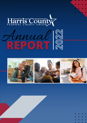

# Annual N

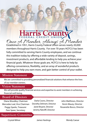# Harris County

Once A Member, Always A Member Established in 1951, Harris County Federal Union serves nearly 20,000 members throughout Harris County. For over 70 years HCFCU has been fully committed to serving Harris County employees, and we continue this tradition today by offering a wide variety of deposit, savings, investment products, and affordable lending to help you achieve your financial goals. Whatever those goals are, HCFCU is here to help by offering convenience, flexibility, and an array of wonderful products designed to help you earn more, and gain better control of your wallet.

### **Mission Statement**

We are committed to providing personalized financial solutions that enhance the lives of our member-owners.

# **Vision Statement**

We will provide quality financial services and expertise to assist members in achieving financial well-being.

# **Board of Directors**

Diana Woodley, Chairman Mercedes Leal, Vice Chairman Peggy Sparks, Treasurer Pam Speer, Secretary

Darla Coons, Director Dorothy Dehnert, Director Janet Bryant, Director Jeremy Ratcliff, Director

John Matthews, Director Kevin Mauzy, Director Rosanette Bosco, Director

# **Supervisory Committee**

Crystal Milner

James Hastings Wendy Caesar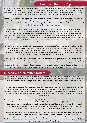# **Board of Directors Report**

As member-owners of our unique cooperative, you have a voice in your credit union. Harris County Federal Credit Union draws financial strength from its members. When you borrow and save and refer your family and coworkers – we all benefit. Your participation in credit union events and educational opportunities also contributes to the growth and potential of your credit union. We are all invested in the financial well-being of each member of our credit union family.

As a financial cooperative, we recognize that we can most effectively serve you and strengthen our organization by engaging with all Harris County employees and supporting the essential Harris County services and programs that provide our foundation. Although 2021 brought its own economic and pandemic related challenges, HCFCU acted to ensure availability of critical financial services throughout our community.

Deposit growth continued to outpace loan demand as members looked to bolster their savings and hold off on larger purchases due to price increases and limited availability. Many members continued working remotely as the impacts of the pandemic wore on. Service delivery evolved to increase secure, online access to members and potential members. We appreciate your confidence in the credit union to provide valuable financial services. As you can see from the financial reports included, HCFCU continues to grow. Our growth allows us to offer a wide array of deposit and loan products to assist you in achieving your financial goals. We take our mission to heart, and as a member of the Harris County community, we have a stake in your success.

We again experienced limited ability to bring credit union services into County offices through our CU@Work program but appreciate members accessing our services, including new memberships, online. We were able to add over 1100 new members during 2021 from a variety of different departments with many of those new members opening multiple products and services. The confidence you have placed in us to serve your financial needs is an honor and we intend to continue working to earn your business and strengthening member relationships.

As we begin our 71st year of service, with assets of over \$209 million, I'd like to recognize my fellow board members for their dedication to this credit union. United in leadership, we are responsible for ensuring your credit union has a capable, qualified, and transparent management team. The strength of this Board's commitment to the highest standards of governance and management is integral to HCFCU's well-being, sustainability, and prosperity. We are grateful for the opportunity to serve on the Board of Directors for HCFCU and we remain committed to furthering the mission of our credit union.

# **Supervisory Committee Report**

The Supervisory Committee is tasked with ensuring that the Board of Directors and management of the credit union is meeting all regulatory requirements and complying with approved policies and control procedures to safeguard members' assets. The Committee provides oversight related to the establishment of effective internal controls, adherence to board policies and compliance with appropriate laws and regulations.

In order to continue providing effective oversight as the size and complexity of the credit union increases, the Committee is guided by a mission statement and work plan designed to ensure Committee members are meeting obligations. Each member is expected to stay current on the responsibilities of the Supervisory Committee as well as the activities of the credit union. Committee members have received appropriate training during the year, and they remain committed to expanding their knowledge.

The Supervisory Committee contracts with an independent auditing firm to perform an annual audit of the credit union. Their latest review, conducted in accordance with the National Credit Union Administration - (NCUA) Rules and Regulations, effective June 30, 2021, indicated that the overall records and operations of the credit union were found to be in good condition. In addition, the NCUA reviews the credit union to confirm compliance with board policies, federal laws, and regulations. Their most recent review found HCFCU to be in excellent financial condition.

Based on thorough analysis, the Supervisory Committee Is satisfied that adequate internal controls exist to protect member accounts and that the financial statements accurately reflect the performance and condition of the credit union. The Supervisory Committee is dedicated to carrying out its responsibilities in the best Interest of the credit union membership. The Committee appreciates the assistance and cooperation of staff and management and the continued support of the Board of Directors in the performance of these duties.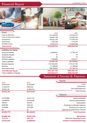# **Financial Report**



| Assets                               |                                     | 2020                           | 2021          |
|--------------------------------------|-------------------------------------|--------------------------------|---------------|
| <b>Loans to Members</b>              |                                     | \$91,236,443                   | \$91,943,274  |
| Cash on Hand and in Banks            |                                     | \$28,487,148                   | \$32,855,302  |
| Investments                          |                                     | \$65,921,343                   | \$71,481,202  |
| <b>Fixed Assets</b>                  |                                     | \$350,166                      | \$155,670     |
| All Other Assets                     |                                     | \$7,657,415                    | \$12,603,340  |
| <b>Total Assets</b>                  |                                     | \$193,652,514                  | \$209,038,788 |
| Liabilities & Equity                 |                                     |                                |               |
| <b>Accounts Payable</b>              |                                     | \$2,060,841                    | \$1,783,105   |
| Dividends Payable                    |                                     | \$0                            | \$0           |
| Notes Payable                        |                                     | \$0                            | \$0           |
| <b>All Other Liabilities</b>         |                                     | \$329,889                      | \$355,517     |
| <b>Total Liabilities</b>             |                                     | \$2,390,730                    | \$2,138,622   |
| <b>Member Deposits</b>               |                                     | \$161,836,493                  | \$174,317,744 |
| Reserves                             |                                     | \$1,188,669                    | \$1,188,669   |
| <b>Retained Earnings</b>             |                                     | \$28,236,622                   | \$31,393,754  |
| <b>Total Member Equity</b>           |                                     | \$191,261,784                  | \$206,900,167 |
| <b>Total Liabilites &amp; Equity</b> |                                     | \$193,652,514                  | \$209,038,788 |
|                                      |                                     | Statement of Income & Expenses |               |
|                                      |                                     | Income                         |               |
| 2020<br>C E E E E A E                | 2021<br>$E$ $A$ $D$ $D$ $D$ $D$ $D$ |                                | Loans         |

|                                       | <u>LVL 1</u> | 2020        |
|---------------------------------------|--------------|-------------|
| Loans                                 | \$5,429,828  | \$5,555,645 |
| Investments                           | \$904,545    | \$1,043,570 |
| Fees & Miscellaneous                  | \$2,283,914  | \$2,033,126 |
| <b>Total Income</b>                   | \$8,618,287  | \$8,632,342 |
| <b>Expenses</b>                       |              |             |
| Salaries & Benefits                   | \$2,631,716  | \$2,618,886 |
| <b>General Administration</b>         | \$2,626,840  | \$2,668,853 |
| Depreciation                          | \$62,076     | \$58,357    |
| Dividends on Member Deposits          | \$565,321    | \$639,482   |
| Provisions for Loan Loss              | \$310,900    | \$578,600   |
| Gain/Loss on Disposition of Assets    | \$0          | \$0         |
| <b>Total Expenses</b>                 | \$6,196,853  | \$6,564,178 |
| <b>Net Income</b>                     | \$2,421,434  | \$2,068,164 |
| Other Non-Operating Income            | \$467,250    | \$375,314   |
| <b>Transfer to Undivided Earnings</b> | \$2,888,684  | \$2,443,478 |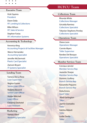- 
- 

#### **Executive Team**

Vicki Squires President

Dawn Daily VP, Lending & Collections

Mike Wilson VP, Sales & Service

Stephen Farias VP, Information Systems

#### **Accounting & Technology**

Veronica King Accounting Projects & Facilities Manager

Marco Hernandez Accounting Specialist

Jennifer McDermott Plastic Card Specialist

Zamoni Bryant IT Systems Specialist

#### **Lending Team**

Tamera De La Rosa Loan Supervisor Regina Graves Senior Loan Officer Roberto Becerril

Senior Loan Officer

Hodari Mitchell Loan Officer

Christina Deshotel Loan Assistant

#### **Marketing**

Kameo Allen Marketing Specialist

# **HCFCU Team**

#### **Collections Team**

Rhonda White Collections Manager Gricelda Ramirez Collections Specialist

Tekyrian Stephens-Persley Collections Specialist

#### **Operations Team**

Connie Myers Teller Supervisor Diana Leon Operations Manager Randee Del Bosque Operations Specialist

#### **Member Services Team**

Cerciaus Janvier Member Service Rep Jeanette Sharpe Member Service Rep Dominic Guillory Branch Service Rep Kassandra Peguero Branch Service Rep Delia Emms Vault Teller Jihad Garlington Teller Jazmin Granados **Teller** Kalisha Abbott Teller Leslie Davila **Teller Harris County**